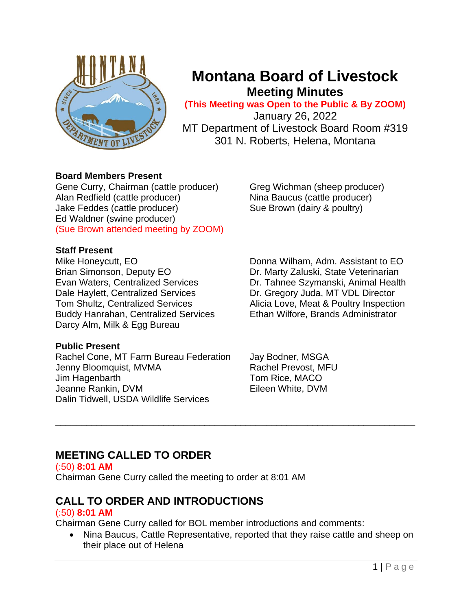

# **Montana Board of Livestock Meeting Minutes**

**(This Meeting was Open to the Public & By ZOOM)** January 26, 2022 MT Department of Livestock Board Room #319

301 N. Roberts, Helena, Montana

## **Board Members Present**

Gene Curry, Chairman (cattle producer) Greg Wichman (sheep producer) Alan Redfield (cattle producer) Nina Baucus (cattle producer) Jake Feddes (cattle producer) Sue Brown (dairy & poultry) Ed Waldner (swine producer) (Sue Brown attended meeting by ZOOM)

## **Staff Present**

Mike Honeycutt, EO **Donna Wilham, Adm. Assistant to EO** Brian Simonson, Deputy EO Dr. Marty Zaluski, State Veterinarian Evan Waters, Centralized Services Dr. Tahnee Szymanski, Animal Health Dale Haylett, Centralized Services Dr. Gregory Juda, MT VDL Director Tom Shultz, Centralized Services Alicia Love, Meat & Poultry Inspection Buddy Hanrahan, Centralized Services Ethan Wilfore, Brands Administrator Darcy Alm, Milk & Egg Bureau

## **Public Present**

Rachel Cone, MT Farm Bureau Federation Jay Bodner, MSGA Jenny Bloomquist, MVMA Rachel Prevost, MFU Jim Hagenbarth Tom Rice, MACO Jeanne Rankin, DVM **Eileen White, DVM** Dalin Tidwell, USDA Wildlife Services

## **MEETING CALLED TO ORDER**

(:50) **8:01 AM** Chairman Gene Curry called the meeting to order at 8:01 AM

## **CALL TO ORDER AND INTRODUCTIONS**

## (:50) **8:01 AM**

Chairman Gene Curry called for BOL member introductions and comments:

• Nina Baucus, Cattle Representative, reported that they raise cattle and sheep on their place out of Helena

\_\_\_\_\_\_\_\_\_\_\_\_\_\_\_\_\_\_\_\_\_\_\_\_\_\_\_\_\_\_\_\_\_\_\_\_\_\_\_\_\_\_\_\_\_\_\_\_\_\_\_\_\_\_\_\_\_\_\_\_\_\_\_\_\_\_\_\_\_\_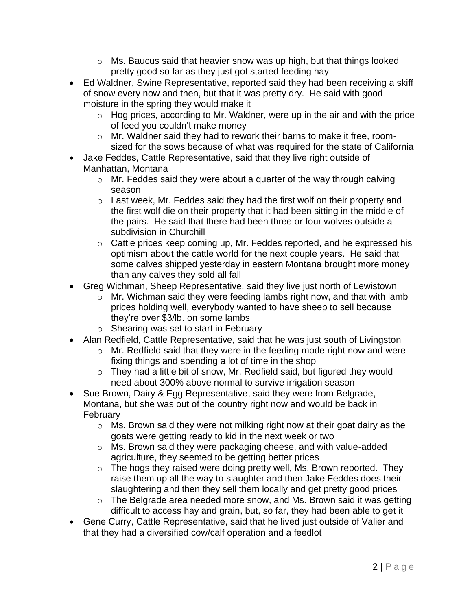- $\circ$  Ms. Baucus said that heavier snow was up high, but that things looked pretty good so far as they just got started feeding hay
- Ed Waldner, Swine Representative, reported said they had been receiving a skiff of snow every now and then, but that it was pretty dry. He said with good moisture in the spring they would make it
	- $\circ$  Hog prices, according to Mr. Waldner, were up in the air and with the price of feed you couldn't make money
	- o Mr. Waldner said they had to rework their barns to make it free, roomsized for the sows because of what was required for the state of California
- Jake Feddes, Cattle Representative, said that they live right outside of Manhattan, Montana
	- $\circ$  Mr. Feddes said they were about a quarter of the way through calving season
	- $\circ$  Last week, Mr. Feddes said they had the first wolf on their property and the first wolf die on their property that it had been sitting in the middle of the pairs. He said that there had been three or four wolves outside a subdivision in Churchill
	- o Cattle prices keep coming up, Mr. Feddes reported, and he expressed his optimism about the cattle world for the next couple years. He said that some calves shipped yesterday in eastern Montana brought more money than any calves they sold all fall
- Greg Wichman, Sheep Representative, said they live just north of Lewistown
	- o Mr. Wichman said they were feeding lambs right now, and that with lamb prices holding well, everybody wanted to have sheep to sell because they're over \$3/lb. on some lambs
	- o Shearing was set to start in February
- Alan Redfield, Cattle Representative, said that he was just south of Livingston
	- o Mr. Redfield said that they were in the feeding mode right now and were fixing things and spending a lot of time in the shop
	- o They had a little bit of snow, Mr. Redfield said, but figured they would need about 300% above normal to survive irrigation season
- Sue Brown, Dairy & Egg Representative, said they were from Belgrade, Montana, but she was out of the country right now and would be back in February
	- o Ms. Brown said they were not milking right now at their goat dairy as the goats were getting ready to kid in the next week or two
	- o Ms. Brown said they were packaging cheese, and with value-added agriculture, they seemed to be getting better prices
	- o The hogs they raised were doing pretty well, Ms. Brown reported. They raise them up all the way to slaughter and then Jake Feddes does their slaughtering and then they sell them locally and get pretty good prices
	- o The Belgrade area needed more snow, and Ms. Brown said it was getting difficult to access hay and grain, but, so far, they had been able to get it
- Gene Curry, Cattle Representative, said that he lived just outside of Valier and that they had a diversified cow/calf operation and a feedlot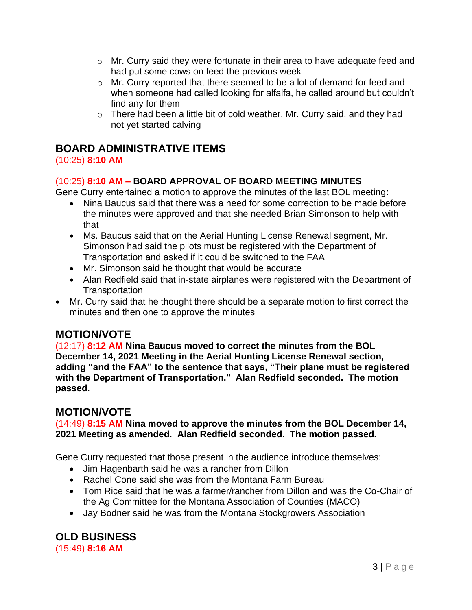- $\circ$  Mr. Curry said they were fortunate in their area to have adequate feed and had put some cows on feed the previous week
- o Mr. Curry reported that there seemed to be a lot of demand for feed and when someone had called looking for alfalfa, he called around but couldn't find any for them
- o There had been a little bit of cold weather, Mr. Curry said, and they had not yet started calving

## **BOARD ADMINISTRATIVE ITEMS**

## (10:25) **8:10 AM**

## (10:25) **8:10 AM – BOARD APPROVAL OF BOARD MEETING MINUTES**

Gene Curry entertained a motion to approve the minutes of the last BOL meeting:

- Nina Baucus said that there was a need for some correction to be made before the minutes were approved and that she needed Brian Simonson to help with that
- Ms. Baucus said that on the Aerial Hunting License Renewal segment, Mr. Simonson had said the pilots must be registered with the Department of Transportation and asked if it could be switched to the FAA
- Mr. Simonson said he thought that would be accurate
- Alan Redfield said that in-state airplanes were registered with the Department of **Transportation**
- Mr. Curry said that he thought there should be a separate motion to first correct the minutes and then one to approve the minutes

## **MOTION/VOTE**

(12:17) **8:12 AM Nina Baucus moved to correct the minutes from the BOL December 14, 2021 Meeting in the Aerial Hunting License Renewal section, adding "and the FAA" to the sentence that says, "Their plane must be registered with the Department of Transportation." Alan Redfield seconded. The motion passed.**

## **MOTION/VOTE**

(14:49) **8:15 AM Nina moved to approve the minutes from the BOL December 14, 2021 Meeting as amended. Alan Redfield seconded. The motion passed.**

Gene Curry requested that those present in the audience introduce themselves:

- Jim Hagenbarth said he was a rancher from Dillon
- Rachel Cone said she was from the Montana Farm Bureau
- Tom Rice said that he was a farmer/rancher from Dillon and was the Co-Chair of the Ag Committee for the Montana Association of Counties (MACO)
- Jay Bodner said he was from the Montana Stockgrowers Association

**OLD BUSINESS** (15:49) **8:16 AM**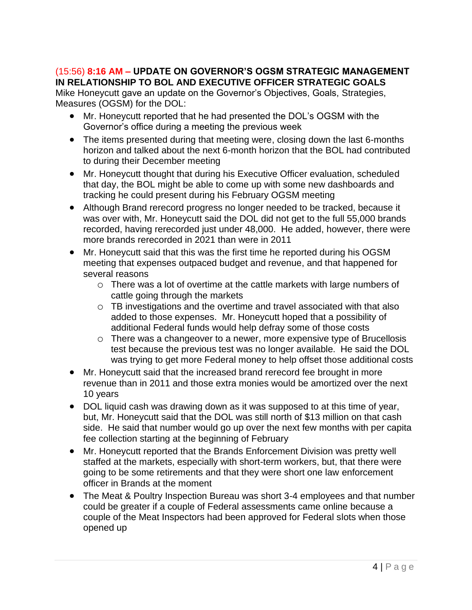## (15:56) **8:16 AM – UPDATE ON GOVERNOR'S OGSM STRATEGIC MANAGEMENT IN RELATIONSHIP TO BOL AND EXECUTIVE OFFICER STRATEGIC GOALS**

Mike Honeycutt gave an update on the Governor's Objectives, Goals, Strategies, Measures (OGSM) for the DOL:

- Mr. Honeycutt reported that he had presented the DOL's OGSM with the Governor's office during a meeting the previous week
- The items presented during that meeting were, closing down the last 6-months horizon and talked about the next 6-month horizon that the BOL had contributed to during their December meeting
- Mr. Honeycutt thought that during his Executive Officer evaluation, scheduled that day, the BOL might be able to come up with some new dashboards and tracking he could present during his February OGSM meeting
- Although Brand rerecord progress no longer needed to be tracked, because it was over with, Mr. Honeycutt said the DOL did not get to the full 55,000 brands recorded, having rerecorded just under 48,000. He added, however, there were more brands rerecorded in 2021 than were in 2011
- Mr. Honeycutt said that this was the first time he reported during his OGSM meeting that expenses outpaced budget and revenue, and that happened for several reasons
	- o There was a lot of overtime at the cattle markets with large numbers of cattle going through the markets
	- o TB investigations and the overtime and travel associated with that also added to those expenses. Mr. Honeycutt hoped that a possibility of additional Federal funds would help defray some of those costs
	- o There was a changeover to a newer, more expensive type of Brucellosis test because the previous test was no longer available. He said the DOL was trying to get more Federal money to help offset those additional costs
- Mr. Honeycutt said that the increased brand rerecord fee brought in more revenue than in 2011 and those extra monies would be amortized over the next 10 years
- DOL liquid cash was drawing down as it was supposed to at this time of year, but, Mr. Honeycutt said that the DOL was still north of \$13 million on that cash side. He said that number would go up over the next few months with per capita fee collection starting at the beginning of February
- Mr. Honeycutt reported that the Brands Enforcement Division was pretty well staffed at the markets, especially with short-term workers, but, that there were going to be some retirements and that they were short one law enforcement officer in Brands at the moment
- The Meat & Poultry Inspection Bureau was short 3-4 employees and that number could be greater if a couple of Federal assessments came online because a couple of the Meat Inspectors had been approved for Federal slots when those opened up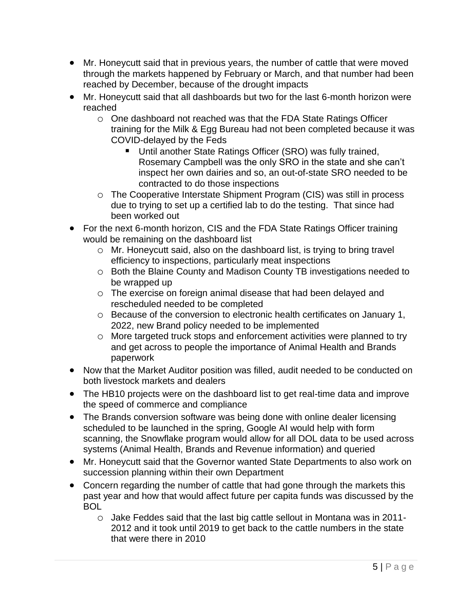- Mr. Honeycutt said that in previous years, the number of cattle that were moved through the markets happened by February or March, and that number had been reached by December, because of the drought impacts
- Mr. Honeycutt said that all dashboards but two for the last 6-month horizon were reached
	- o One dashboard not reached was that the FDA State Ratings Officer training for the Milk & Egg Bureau had not been completed because it was COVID-delayed by the Feds
		- Until another State Ratings Officer (SRO) was fully trained, Rosemary Campbell was the only SRO in the state and she can't inspect her own dairies and so, an out-of-state SRO needed to be contracted to do those inspections
	- o The Cooperative Interstate Shipment Program (CIS) was still in process due to trying to set up a certified lab to do the testing. That since had been worked out
- For the next 6-month horizon, CIS and the FDA State Ratings Officer training would be remaining on the dashboard list
	- o Mr. Honeycutt said, also on the dashboard list, is trying to bring travel efficiency to inspections, particularly meat inspections
	- o Both the Blaine County and Madison County TB investigations needed to be wrapped up
	- o The exercise on foreign animal disease that had been delayed and rescheduled needed to be completed
	- o Because of the conversion to electronic health certificates on January 1, 2022, new Brand policy needed to be implemented
	- o More targeted truck stops and enforcement activities were planned to try and get across to people the importance of Animal Health and Brands paperwork
- Now that the Market Auditor position was filled, audit needed to be conducted on both livestock markets and dealers
- The HB10 projects were on the dashboard list to get real-time data and improve the speed of commerce and compliance
- The Brands conversion software was being done with online dealer licensing scheduled to be launched in the spring, Google AI would help with form scanning, the Snowflake program would allow for all DOL data to be used across systems (Animal Health, Brands and Revenue information) and queried
- Mr. Honeycutt said that the Governor wanted State Departments to also work on succession planning within their own Department
- Concern regarding the number of cattle that had gone through the markets this past year and how that would affect future per capita funds was discussed by the BOL
	- o Jake Feddes said that the last big cattle sellout in Montana was in 2011- 2012 and it took until 2019 to get back to the cattle numbers in the state that were there in 2010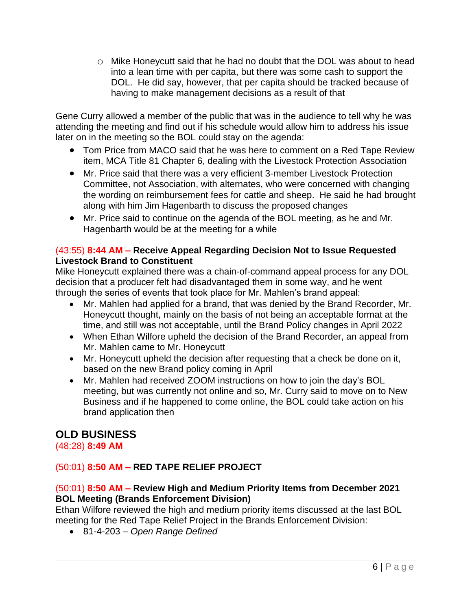o Mike Honeycutt said that he had no doubt that the DOL was about to head into a lean time with per capita, but there was some cash to support the DOL. He did say, however, that per capita should be tracked because of having to make management decisions as a result of that

Gene Curry allowed a member of the public that was in the audience to tell why he was attending the meeting and find out if his schedule would allow him to address his issue later on in the meeting so the BOL could stay on the agenda:

- Tom Price from MACO said that he was here to comment on a Red Tape Review item, MCA Title 81 Chapter 6, dealing with the Livestock Protection Association
- Mr. Price said that there was a very efficient 3-member Livestock Protection Committee, not Association, with alternates, who were concerned with changing the wording on reimbursement fees for cattle and sheep. He said he had brought along with him Jim Hagenbarth to discuss the proposed changes
- Mr. Price said to continue on the agenda of the BOL meeting, as he and Mr. Hagenbarth would be at the meeting for a while

## (43:55) **8:44 AM – Receive Appeal Regarding Decision Not to Issue Requested Livestock Brand to Constituent**

Mike Honeycutt explained there was a chain-of-command appeal process for any DOL decision that a producer felt had disadvantaged them in some way, and he went through the series of events that took place for Mr. Mahlen's brand appeal:

- Mr. Mahlen had applied for a brand, that was denied by the Brand Recorder, Mr. Honeycutt thought, mainly on the basis of not being an acceptable format at the time, and still was not acceptable, until the Brand Policy changes in April 2022
- When Ethan Wilfore upheld the decision of the Brand Recorder, an appeal from Mr. Mahlen came to Mr. Honeycutt
- Mr. Honeycutt upheld the decision after requesting that a check be done on it, based on the new Brand policy coming in April
- Mr. Mahlen had received ZOOM instructions on how to join the day's BOL meeting, but was currently not online and so, Mr. Curry said to move on to New Business and if he happened to come online, the BOL could take action on his brand application then

## **OLD BUSINESS**

(48:28) **8:49 AM**

## (50:01) **8:50 AM – RED TAPE RELIEF PROJECT**

## (50:01) **8:50 AM – Review High and Medium Priority Items from December 2021 BOL Meeting (Brands Enforcement Division)**

Ethan Wilfore reviewed the high and medium priority items discussed at the last BOL meeting for the Red Tape Relief Project in the Brands Enforcement Division:

• 81-4-203 – *Open Range Defined*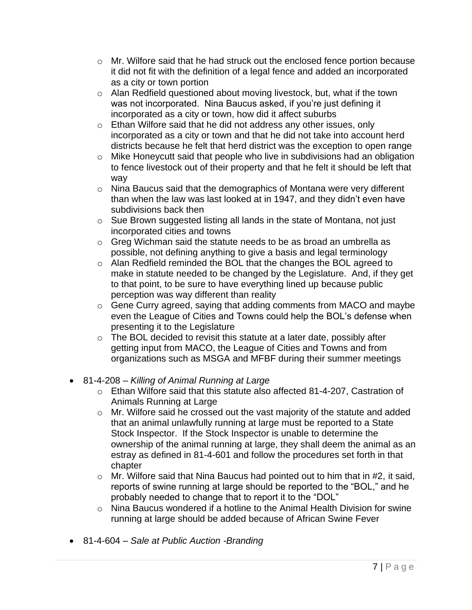- $\circ$  Mr. Wilfore said that he had struck out the enclosed fence portion because it did not fit with the definition of a legal fence and added an incorporated as a city or town portion
- o Alan Redfield questioned about moving livestock, but, what if the town was not incorporated. Nina Baucus asked, if you're just defining it incorporated as a city or town, how did it affect suburbs
- o Ethan Wilfore said that he did not address any other issues, only incorporated as a city or town and that he did not take into account herd districts because he felt that herd district was the exception to open range
- o Mike Honeycutt said that people who live in subdivisions had an obligation to fence livestock out of their property and that he felt it should be left that way
- o Nina Baucus said that the demographics of Montana were very different than when the law was last looked at in 1947, and they didn't even have subdivisions back then
- o Sue Brown suggested listing all lands in the state of Montana, not just incorporated cities and towns
- o Greg Wichman said the statute needs to be as broad an umbrella as possible, not defining anything to give a basis and legal terminology
- o Alan Redfield reminded the BOL that the changes the BOL agreed to make in statute needed to be changed by the Legislature. And, if they get to that point, to be sure to have everything lined up because public perception was way different than reality
- o Gene Curry agreed, saying that adding comments from MACO and maybe even the League of Cities and Towns could help the BOL's defense when presenting it to the Legislature
- o The BOL decided to revisit this statute at a later date, possibly after getting input from MACO, the League of Cities and Towns and from organizations such as MSGA and MFBF during their summer meetings
- 81-4-208 *Killing of Animal Running at Large*
	- o Ethan Wilfore said that this statute also affected 81-4-207, Castration of Animals Running at Large
	- o Mr. Wilfore said he crossed out the vast majority of the statute and added that an animal unlawfully running at large must be reported to a State Stock Inspector. If the Stock Inspector is unable to determine the ownership of the animal running at large, they shall deem the animal as an estray as defined in 81-4-601 and follow the procedures set forth in that chapter
	- $\circ$  Mr. Wilfore said that Nina Baucus had pointed out to him that in #2, it said, reports of swine running at large should be reported to the "BOL," and he probably needed to change that to report it to the "DOL"
	- o Nina Baucus wondered if a hotline to the Animal Health Division for swine running at large should be added because of African Swine Fever
- 81-4-604 *Sale at Public Auction -Branding*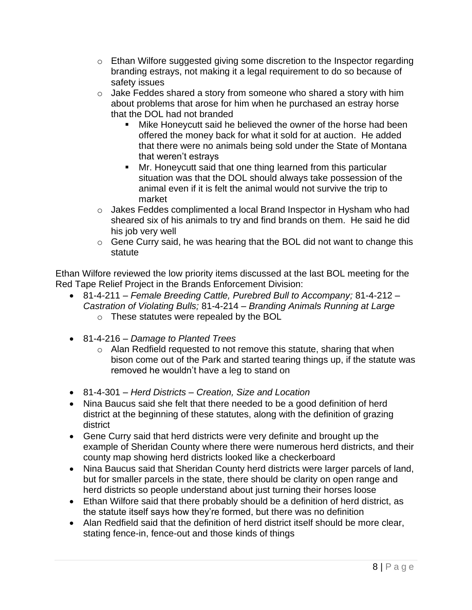- o Ethan Wilfore suggested giving some discretion to the Inspector regarding branding estrays, not making it a legal requirement to do so because of safety issues
- $\circ$  Jake Feddes shared a story from someone who shared a story with him about problems that arose for him when he purchased an estray horse that the DOL had not branded
	- Mike Honeycutt said he believed the owner of the horse had been offered the money back for what it sold for at auction. He added that there were no animals being sold under the State of Montana that weren't estrays
	- Mr. Honeycutt said that one thing learned from this particular situation was that the DOL should always take possession of the animal even if it is felt the animal would not survive the trip to market
- o Jakes Feddes complimented a local Brand Inspector in Hysham who had sheared six of his animals to try and find brands on them. He said he did his job very well
- o Gene Curry said, he was hearing that the BOL did not want to change this statute

Ethan Wilfore reviewed the low priority items discussed at the last BOL meeting for the Red Tape Relief Project in the Brands Enforcement Division:

- 81-4-211 *Female Breeding Cattle, Purebred Bull to Accompany;* 81-4-212 *Castration of Violating Bulls;* 81-4-214 – *Branding Animals Running at Large*
	- o These statutes were repealed by the BOL
- 81-4-216 *Damage to Planted Trees*
	- o Alan Redfield requested to not remove this statute, sharing that when bison come out of the Park and started tearing things up, if the statute was removed he wouldn't have a leg to stand on
- 81-4-301 *Herd Districts – Creation, Size and Location*
- Nina Baucus said she felt that there needed to be a good definition of herd district at the beginning of these statutes, along with the definition of grazing district
- Gene Curry said that herd districts were very definite and brought up the example of Sheridan County where there were numerous herd districts, and their county map showing herd districts looked like a checkerboard
- Nina Baucus said that Sheridan County herd districts were larger parcels of land, but for smaller parcels in the state, there should be clarity on open range and herd districts so people understand about just turning their horses loose
- Ethan Wilfore said that there probably should be a definition of herd district, as the statute itself says how they're formed, but there was no definition
- Alan Redfield said that the definition of herd district itself should be more clear, stating fence-in, fence-out and those kinds of things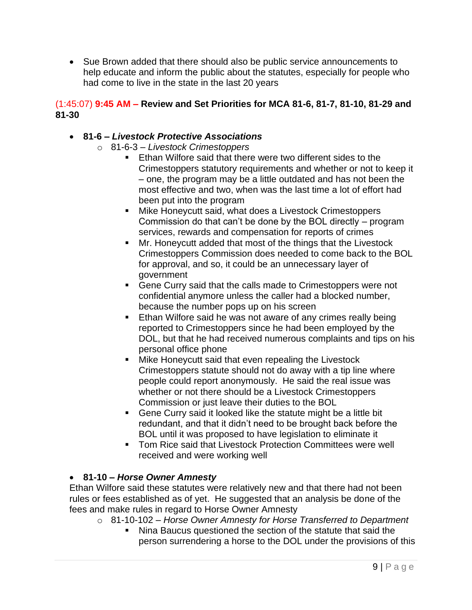• Sue Brown added that there should also be public service announcements to help educate and inform the public about the statutes, especially for people who had come to live in the state in the last 20 years

## (1:45:07) **9:45 AM – Review and Set Priorities for MCA 81-6, 81-7, 81-10, 81-29 and 81-30**

## • **81-6 –** *Livestock Protective Associations*

- o 81-6-3 *Livestock Crimestoppers*
	- Ethan Wilfore said that there were two different sides to the Crimestoppers statutory requirements and whether or not to keep it – one, the program may be a little outdated and has not been the most effective and two, when was the last time a lot of effort had been put into the program
	- Mike Honeycutt said, what does a Livestock Crimestoppers Commission do that can't be done by the BOL directly – program services, rewards and compensation for reports of crimes
	- Mr. Honeycutt added that most of the things that the Livestock Crimestoppers Commission does needed to come back to the BOL for approval, and so, it could be an unnecessary layer of government
	- Gene Curry said that the calls made to Crimestoppers were not confidential anymore unless the caller had a blocked number, because the number pops up on his screen
	- **Ethan Wilfore said he was not aware of any crimes really being** reported to Crimestoppers since he had been employed by the DOL, but that he had received numerous complaints and tips on his personal office phone
	- Mike Honeycutt said that even repealing the Livestock Crimestoppers statute should not do away with a tip line where people could report anonymously. He said the real issue was whether or not there should be a Livestock Crimestoppers Commission or just leave their duties to the BOL
	- Gene Curry said it looked like the statute might be a little bit redundant, and that it didn't need to be brought back before the BOL until it was proposed to have legislation to eliminate it
	- Tom Rice said that Livestock Protection Committees were well received and were working well

## • **81-10 –** *Horse Owner Amnesty*

Ethan Wilfore said these statutes were relatively new and that there had not been rules or fees established as of yet. He suggested that an analysis be done of the fees and make rules in regard to Horse Owner Amnesty

- o 81-10-102 *Horse Owner Amnesty for Horse Transferred to Department*
	- Nina Baucus questioned the section of the statute that said the person surrendering a horse to the DOL under the provisions of this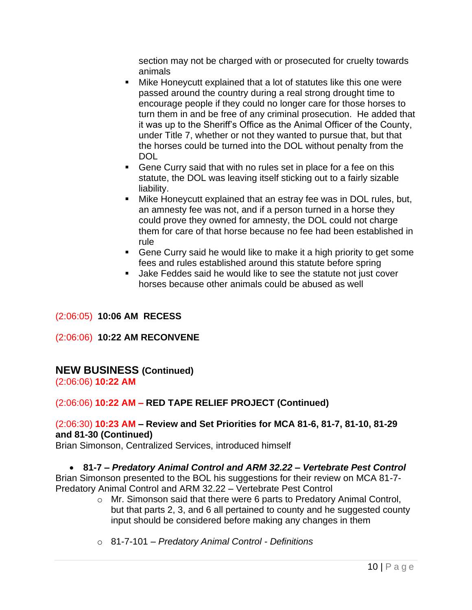section may not be charged with or prosecuted for cruelty towards animals

- Mike Honeycutt explained that a lot of statutes like this one were passed around the country during a real strong drought time to encourage people if they could no longer care for those horses to turn them in and be free of any criminal prosecution. He added that it was up to the Sheriff's Office as the Animal Officer of the County, under Title 7, whether or not they wanted to pursue that, but that the horses could be turned into the DOL without penalty from the DOL
- Gene Curry said that with no rules set in place for a fee on this statute, the DOL was leaving itself sticking out to a fairly sizable liability.
- Mike Honeycutt explained that an estray fee was in DOL rules, but, an amnesty fee was not, and if a person turned in a horse they could prove they owned for amnesty, the DOL could not charge them for care of that horse because no fee had been established in rule
- Gene Curry said he would like to make it a high priority to get some fees and rules established around this statute before spring
- Jake Feddes said he would like to see the statute not just cover horses because other animals could be abused as well

#### (2:06:05) **10:06 AM RECESS**

#### (2:06:06) **10:22 AM RECONVENE**

## **NEW BUSINESS (Continued)**

(2:06:06) **10:22 AM**

## (2:06:06) **10:22 AM – RED TAPE RELIEF PROJECT (Continued)**

## (2:06:30) **10:23 AM – Review and Set Priorities for MCA 81-6, 81-7, 81-10, 81-29 and 81-30 (Continued)**

Brian Simonson, Centralized Services, introduced himself

#### • **81-7 –** *Predatory Animal Control and ARM 32.22 – Vertebrate Pest Control*

Brian Simonson presented to the BOL his suggestions for their review on MCA 81-7- Predatory Animal Control and ARM 32.22 – Vertebrate Pest Control

- o Mr. Simonson said that there were 6 parts to Predatory Animal Control, but that parts 2, 3, and 6 all pertained to county and he suggested county input should be considered before making any changes in them
- o 81-7-101 *Predatory Animal Control - Definitions*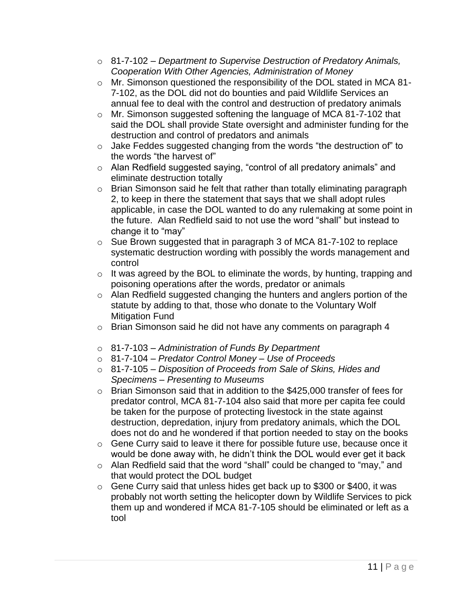- o 81-7-102 *Department to Supervise Destruction of Predatory Animals, Cooperation With Other Agencies, Administration of Money*
- o Mr. Simonson questioned the responsibility of the DOL stated in MCA 81- 7-102, as the DOL did not do bounties and paid Wildlife Services an annual fee to deal with the control and destruction of predatory animals
- o Mr. Simonson suggested softening the language of MCA 81-7-102 that said the DOL shall provide State oversight and administer funding for the destruction and control of predators and animals
- o Jake Feddes suggested changing from the words "the destruction of" to the words "the harvest of"
- o Alan Redfield suggested saying, "control of all predatory animals" and eliminate destruction totally
- o Brian Simonson said he felt that rather than totally eliminating paragraph 2, to keep in there the statement that says that we shall adopt rules applicable, in case the DOL wanted to do any rulemaking at some point in the future. Alan Redfield said to not use the word "shall" but instead to change it to "may"
- o Sue Brown suggested that in paragraph 3 of MCA 81-7-102 to replace systematic destruction wording with possibly the words management and control
- o It was agreed by the BOL to eliminate the words, by hunting, trapping and poisoning operations after the words, predator or animals
- o Alan Redfield suggested changing the hunters and anglers portion of the statute by adding to that, those who donate to the Voluntary Wolf Mitigation Fund
- o Brian Simonson said he did not have any comments on paragraph 4
- o 81-7-103 *Administration of Funds By Department*
- o 81-7-104 *Predator Control Money – Use of Proceeds*
- o 81-7-105 *Disposition of Proceeds from Sale of Skins, Hides and Specimens – Presenting to Museums*
- o Brian Simonson said that in addition to the \$425,000 transfer of fees for predator control, MCA 81-7-104 also said that more per capita fee could be taken for the purpose of protecting livestock in the state against destruction, depredation, injury from predatory animals, which the DOL does not do and he wondered if that portion needed to stay on the books
- o Gene Curry said to leave it there for possible future use, because once it would be done away with, he didn't think the DOL would ever get it back
- o Alan Redfield said that the word "shall" could be changed to "may," and that would protect the DOL budget
- o Gene Curry said that unless hides get back up to \$300 or \$400, it was probably not worth setting the helicopter down by Wildlife Services to pick them up and wondered if MCA 81-7-105 should be eliminated or left as a tool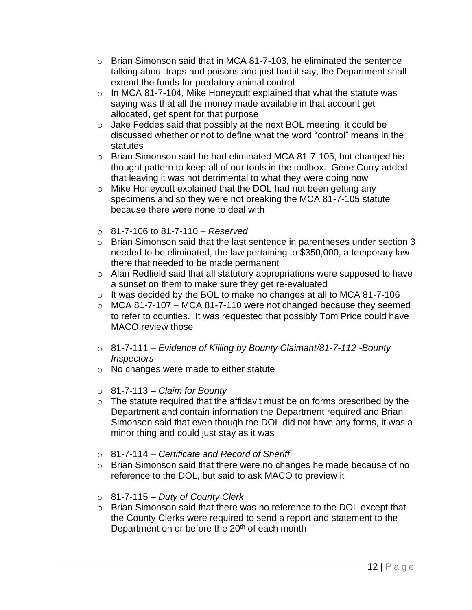- $\circ$  Brian Simonson said that in MCA 81-7-103, he eliminated the sentence talking about traps and poisons and just had it say, the Department shall extend the funds for predatory animal control
- $\circ$  In MCA 81-7-104, Mike Honeycutt explained that what the statute was saying was that all the money made available in that account get allocated, get spent for that purpose
- $\circ$  Jake Feddes said that possibly at the next BOL meeting, it could be discussed whether or not to define what the word "control" means in the statutes
- o Brian Simonson said he had eliminated MCA 81-7-105, but changed his thought pattern to keep all of our tools in the toolbox. Gene Curry added that leaving it was not detrimental to what they were doing now
- o Mike Honeycutt explained that the DOL had not been getting any specimens and so they were not breaking the MCA 81-7-105 statute because there were none to deal with
- o 81-7-106 to 81-7-110 *Reserved*
- o Brian Simonson said that the last sentence in parentheses under section 3 needed to be eliminated, the law pertaining to \$350,000, a temporary law there that needed to be made permanent
- o Alan Redfield said that all statutory appropriations were supposed to have a sunset on them to make sure they get re-evaluated
- $\circ$  It was decided by the BOL to make no changes at all to MCA 81-7-106
- $\circ$  MCA 81-7-107 MCA 81-7-110 were not changed because they seemed to refer to counties. It was requested that possibly Tom Price could have MACO review those
- o 81-7-111 *Evidence of Killing by Bounty Claimant/81-7-112 -Bounty Inspectors*
- o No changes were made to either statute
- o 81-7-113 *Claim for Bounty*
- $\circ$  The statute required that the affidavit must be on forms prescribed by the Department and contain information the Department required and Brian Simonson said that even though the DOL did not have any forms, it was a minor thing and could just stay as it was
- o 81-7-114 *Certificate and Record of Sheriff*
- $\circ$  Brian Simonson said that there were no changes he made because of no reference to the DOL, but said to ask MACO to preview it
- o 81-7-115 *Duty of County Clerk*
- o Brian Simonson said that there was no reference to the DOL except that the County Clerks were required to send a report and statement to the Department on or before the 20<sup>th</sup> of each month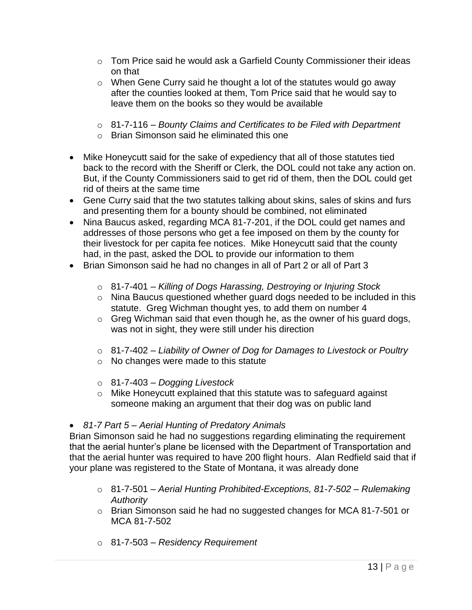- $\circ$  Tom Price said he would ask a Garfield County Commissioner their ideas on that
- o When Gene Curry said he thought a lot of the statutes would go away after the counties looked at them, Tom Price said that he would say to leave them on the books so they would be available
- o 81-7-116 *Bounty Claims and Certificates to be Filed with Department*
- o Brian Simonson said he eliminated this one
- Mike Honeycutt said for the sake of expediency that all of those statutes tied back to the record with the Sheriff or Clerk, the DOL could not take any action on. But, if the County Commissioners said to get rid of them, then the DOL could get rid of theirs at the same time
- Gene Curry said that the two statutes talking about skins, sales of skins and furs and presenting them for a bounty should be combined, not eliminated
- Nina Baucus asked, regarding MCA 81-7-201, if the DOL could get names and addresses of those persons who get a fee imposed on them by the county for their livestock for per capita fee notices. Mike Honeycutt said that the county had, in the past, asked the DOL to provide our information to them
- Brian Simonson said he had no changes in all of Part 2 or all of Part 3
	- o 81-7-401 *Killing of Dogs Harassing, Destroying or Injuring Stock*
	- o Nina Baucus questioned whether guard dogs needed to be included in this statute. Greg Wichman thought yes, to add them on number 4
	- o Greg Wichman said that even though he, as the owner of his guard dogs, was not in sight, they were still under his direction
	- o 81-7-402 *Liability of Owner of Dog for Damages to Livestock or Poultry*
	- o No changes were made to this statute
	- o 81-7-403 *Dogging Livestock*
	- o Mike Honeycutt explained that this statute was to safeguard against someone making an argument that their dog was on public land

#### • *81-7 Part 5 – Aerial Hunting of Predatory Animals*

Brian Simonson said he had no suggestions regarding eliminating the requirement that the aerial hunter's plane be licensed with the Department of Transportation and that the aerial hunter was required to have 200 flight hours. Alan Redfield said that if your plane was registered to the State of Montana, it was already done

- o 81-7-501 *Aerial Hunting Prohibited-Exceptions, 81-7-502 – Rulemaking Authority*
- o Brian Simonson said he had no suggested changes for MCA 81-7-501 or MCA 81-7-502
- o 81-7-503 *Residency Requirement*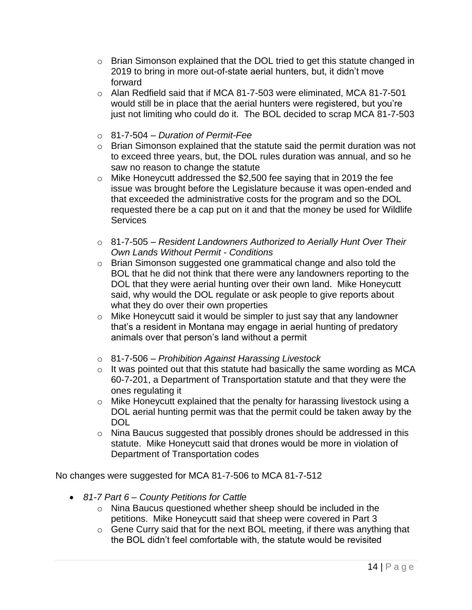- o Brian Simonson explained that the DOL tried to get this statute changed in 2019 to bring in more out-of-state aerial hunters, but, it didn't move forward
- o Alan Redfield said that if MCA 81-7-503 were eliminated, MCA 81-7-501 would still be in place that the aerial hunters were registered, but you're just not limiting who could do it. The BOL decided to scrap MCA 81-7-503
- o 81-7-504 *Duration of Permit-Fee*
- o Brian Simonson explained that the statute said the permit duration was not to exceed three years, but, the DOL rules duration was annual, and so he saw no reason to change the statute
- o Mike Honeycutt addressed the \$2,500 fee saying that in 2019 the fee issue was brought before the Legislature because it was open-ended and that exceeded the administrative costs for the program and so the DOL requested there be a cap put on it and that the money be used for Wildlife **Services**
- o 81-7-505 *Resident Landowners Authorized to Aerially Hunt Over Their Own Lands Without Permit - Conditions*
- o Brian Simonson suggested one grammatical change and also told the BOL that he did not think that there were any landowners reporting to the DOL that they were aerial hunting over their own land. Mike Honeycutt said, why would the DOL regulate or ask people to give reports about what they do over their own properties
- o Mike Honeycutt said it would be simpler to just say that any landowner that's a resident in Montana may engage in aerial hunting of predatory animals over that person's land without a permit
- o 81-7-506 *Prohibition Against Harassing Livestock*
- $\circ$  It was pointed out that this statute had basically the same wording as MCA 60-7-201, a Department of Transportation statute and that they were the ones regulating it
- o Mike Honeycutt explained that the penalty for harassing livestock using a DOL aerial hunting permit was that the permit could be taken away by the DOL
- o Nina Baucus suggested that possibly drones should be addressed in this statute. Mike Honeycutt said that drones would be more in violation of Department of Transportation codes

No changes were suggested for MCA 81-7-506 to MCA 81-7-512

- *81-7 Part 6 – County Petitions for Cattle*
	- o Nina Baucus questioned whether sheep should be included in the petitions. Mike Honeycutt said that sheep were covered in Part 3
	- o Gene Curry said that for the next BOL meeting, if there was anything that the BOL didn't feel comfortable with, the statute would be revisited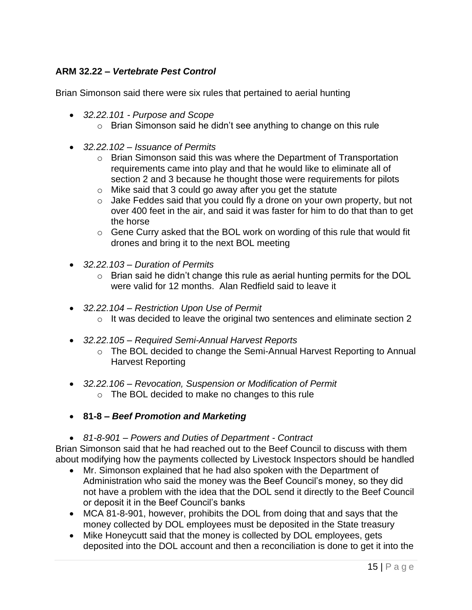## **ARM 32.22 –** *Vertebrate Pest Control*

Brian Simonson said there were six rules that pertained to aerial hunting

- *32.22.101 - Purpose and Scope*
	- o Brian Simonson said he didn't see anything to change on this rule
- *32.22.102 – Issuance of Permits*
	- o Brian Simonson said this was where the Department of Transportation requirements came into play and that he would like to eliminate all of section 2 and 3 because he thought those were requirements for pilots
	- o Mike said that 3 could go away after you get the statute
	- $\circ$  Jake Feddes said that you could fly a drone on your own property, but not over 400 feet in the air, and said it was faster for him to do that than to get the horse
	- o Gene Curry asked that the BOL work on wording of this rule that would fit drones and bring it to the next BOL meeting
- *32.22.103 – Duration of Permits*
	- o Brian said he didn't change this rule as aerial hunting permits for the DOL were valid for 12 months. Alan Redfield said to leave it
- *32.22.104 – Restriction Upon Use of Permit* o It was decided to leave the original two sentences and eliminate section 2
- *32.22.105 – Required Semi-Annual Harvest Reports*
	- o The BOL decided to change the Semi-Annual Harvest Reporting to Annual Harvest Reporting
- *32.22.106 – Revocation, Suspension or Modification of Permit* o The BOL decided to make no changes to this rule
- **81-8 –** *Beef Promotion and Marketing*
- *81-8-901 – Powers and Duties of Department - Contract*

Brian Simonson said that he had reached out to the Beef Council to discuss with them about modifying how the payments collected by Livestock Inspectors should be handled

- Mr. Simonson explained that he had also spoken with the Department of Administration who said the money was the Beef Council's money, so they did not have a problem with the idea that the DOL send it directly to the Beef Council or deposit it in the Beef Council's banks
- MCA 81-8-901, however, prohibits the DOL from doing that and says that the money collected by DOL employees must be deposited in the State treasury
- Mike Honeycutt said that the money is collected by DOL employees, gets deposited into the DOL account and then a reconciliation is done to get it into the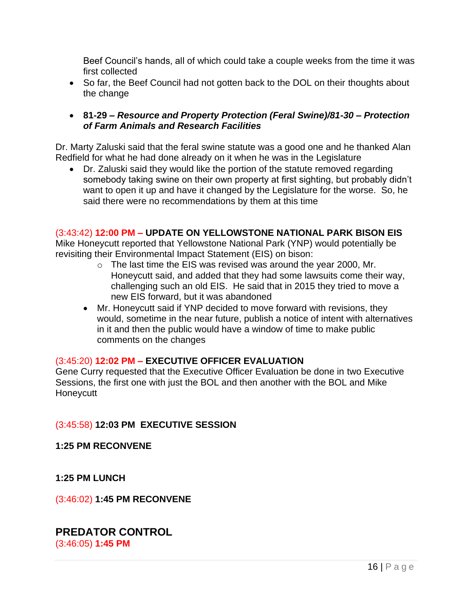Beef Council's hands, all of which could take a couple weeks from the time it was first collected

- So far, the Beef Council had not gotten back to the DOL on their thoughts about the change
- **81-29 –** *Resource and Property Protection (Feral Swine)/81-30 – Protection of Farm Animals and Research Facilities*

Dr. Marty Zaluski said that the feral swine statute was a good one and he thanked Alan Redfield for what he had done already on it when he was in the Legislature

• Dr. Zaluski said they would like the portion of the statute removed regarding somebody taking swine on their own property at first sighting, but probably didn't want to open it up and have it changed by the Legislature for the worse. So, he said there were no recommendations by them at this time

## (3:43:42) **12:00 PM – UPDATE ON YELLOWSTONE NATIONAL PARK BISON EIS**

Mike Honeycutt reported that Yellowstone National Park (YNP) would potentially be revisiting their Environmental Impact Statement (EIS) on bison:

- o The last time the EIS was revised was around the year 2000, Mr. Honeycutt said, and added that they had some lawsuits come their way, challenging such an old EIS. He said that in 2015 they tried to move a new EIS forward, but it was abandoned
- Mr. Honeycutt said if YNP decided to move forward with revisions, they would, sometime in the near future, publish a notice of intent with alternatives in it and then the public would have a window of time to make public comments on the changes

#### (3:45:20) **12:02 PM – EXECUTIVE OFFICER EVALUATION**

Gene Curry requested that the Executive Officer Evaluation be done in two Executive Sessions, the first one with just the BOL and then another with the BOL and Mike **Honeycutt** 

## (3:45:58) **12:03 PM EXECUTIVE SESSION**

#### **1:25 PM RECONVENE**

#### **1:25 PM LUNCH**

(3:46:02) **1:45 PM RECONVENE**

# **PREDATOR CONTROL**

(3:46:05) **1:45 PM**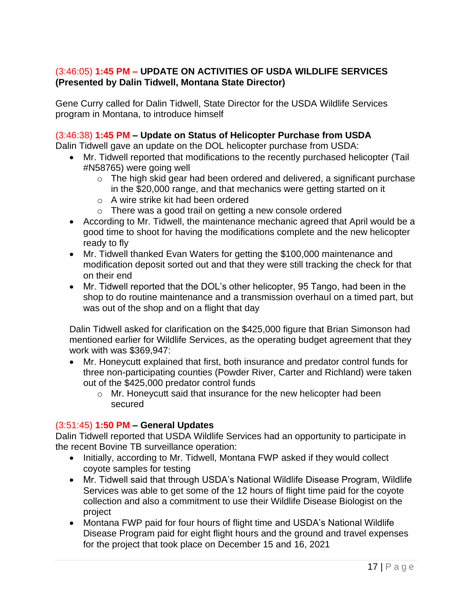## (3:46:05) **1:45 PM – UPDATE ON ACTIVITIES OF USDA WILDLIFE SERVICES (Presented by Dalin Tidwell, Montana State Director)**

Gene Curry called for Dalin Tidwell, State Director for the USDA Wildlife Services program in Montana, to introduce himself

## (3:46:38) **1:45 PM – Update on Status of Helicopter Purchase from USDA**

Dalin Tidwell gave an update on the DOL helicopter purchase from USDA:

- Mr. Tidwell reported that modifications to the recently purchased helicopter (Tail #N58765) were going well
	- $\circ$  The high skid gear had been ordered and delivered, a significant purchase in the \$20,000 range, and that mechanics were getting started on it
	- o A wire strike kit had been ordered
	- o There was a good trail on getting a new console ordered
- According to Mr. Tidwell, the maintenance mechanic agreed that April would be a good time to shoot for having the modifications complete and the new helicopter ready to fly
- Mr. Tidwell thanked Evan Waters for getting the \$100,000 maintenance and modification deposit sorted out and that they were still tracking the check for that on their end
- Mr. Tidwell reported that the DOL's other helicopter, 95 Tango, had been in the shop to do routine maintenance and a transmission overhaul on a timed part, but was out of the shop and on a flight that day

Dalin Tidwell asked for clarification on the \$425,000 figure that Brian Simonson had mentioned earlier for Wildlife Services, as the operating budget agreement that they work with was \$369,947:

- Mr. Honeycutt explained that first, both insurance and predator control funds for three non-participating counties (Powder River, Carter and Richland) were taken out of the \$425,000 predator control funds
	- o Mr. Honeycutt said that insurance for the new helicopter had been secured

#### (3:51:45) **1:50 PM – General Updates**

Dalin Tidwell reported that USDA Wildlife Services had an opportunity to participate in the recent Bovine TB surveillance operation:

- Initially, according to Mr. Tidwell, Montana FWP asked if they would collect coyote samples for testing
- Mr. Tidwell said that through USDA's National Wildlife Disease Program, Wildlife Services was able to get some of the 12 hours of flight time paid for the coyote collection and also a commitment to use their Wildlife Disease Biologist on the project
- Montana FWP paid for four hours of flight time and USDA's National Wildlife Disease Program paid for eight flight hours and the ground and travel expenses for the project that took place on December 15 and 16, 2021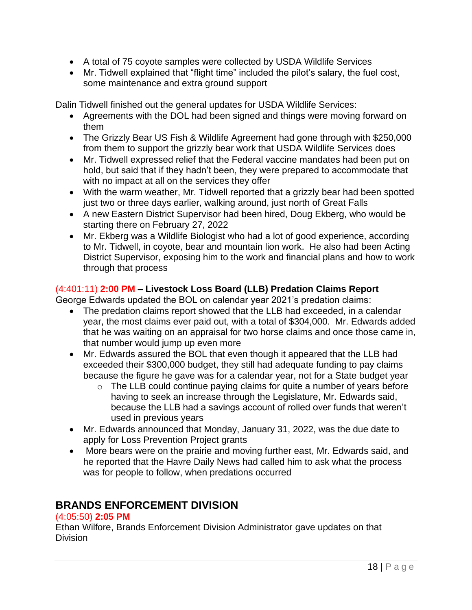- A total of 75 coyote samples were collected by USDA Wildlife Services
- Mr. Tidwell explained that "flight time" included the pilot's salary, the fuel cost, some maintenance and extra ground support

Dalin Tidwell finished out the general updates for USDA Wildlife Services:

- Agreements with the DOL had been signed and things were moving forward on them
- The Grizzly Bear US Fish & Wildlife Agreement had gone through with \$250,000 from them to support the grizzly bear work that USDA Wildlife Services does
- Mr. Tidwell expressed relief that the Federal vaccine mandates had been put on hold, but said that if they hadn't been, they were prepared to accommodate that with no impact at all on the services they offer
- With the warm weather, Mr. Tidwell reported that a grizzly bear had been spotted just two or three days earlier, walking around, just north of Great Falls
- A new Eastern District Supervisor had been hired, Doug Ekberg, who would be starting there on February 27, 2022
- Mr. Ekberg was a Wildlife Biologist who had a lot of good experience, according to Mr. Tidwell, in coyote, bear and mountain lion work. He also had been Acting District Supervisor, exposing him to the work and financial plans and how to work through that process

## (4:401:11) **2:00 PM – Livestock Loss Board (LLB) Predation Claims Report**

George Edwards updated the BOL on calendar year 2021's predation claims:

- The predation claims report showed that the LLB had exceeded, in a calendar year, the most claims ever paid out, with a total of \$304,000. Mr. Edwards added that he was waiting on an appraisal for two horse claims and once those came in, that number would jump up even more
- Mr. Edwards assured the BOL that even though it appeared that the LLB had exceeded their \$300,000 budget, they still had adequate funding to pay claims because the figure he gave was for a calendar year, not for a State budget year
	- $\circ$  The LLB could continue paving claims for quite a number of years before having to seek an increase through the Legislature, Mr. Edwards said, because the LLB had a savings account of rolled over funds that weren't used in previous years
- Mr. Edwards announced that Monday, January 31, 2022, was the due date to apply for Loss Prevention Project grants
- More bears were on the prairie and moving further east, Mr. Edwards said, and he reported that the Havre Daily News had called him to ask what the process was for people to follow, when predations occurred

## **BRANDS ENFORCEMENT DIVISION**

## (4:05:50) **2:05 PM**

Ethan Wilfore, Brands Enforcement Division Administrator gave updates on that Division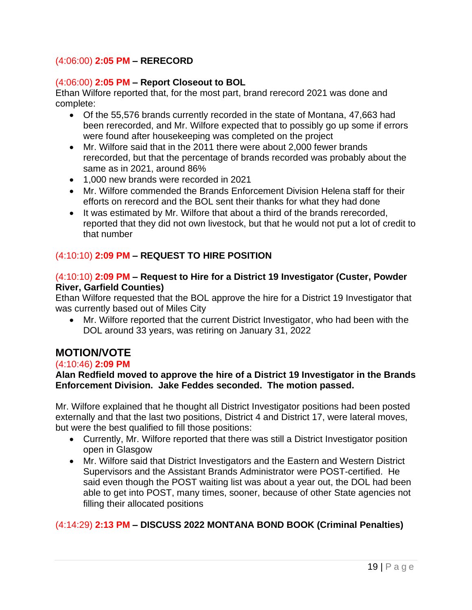## (4:06:00) **2:05 PM – RERECORD**

#### (4:06:00) **2:05 PM – Report Closeout to BOL**

Ethan Wilfore reported that, for the most part, brand rerecord 2021 was done and complete:

- Of the 55,576 brands currently recorded in the state of Montana, 47,663 had been rerecorded, and Mr. Wilfore expected that to possibly go up some if errors were found after housekeeping was completed on the project
- Mr. Wilfore said that in the 2011 there were about 2,000 fewer brands rerecorded, but that the percentage of brands recorded was probably about the same as in 2021, around 86%
- 1,000 new brands were recorded in 2021
- Mr. Wilfore commended the Brands Enforcement Division Helena staff for their efforts on rerecord and the BOL sent their thanks for what they had done
- It was estimated by Mr. Wilfore that about a third of the brands rerecorded, reported that they did not own livestock, but that he would not put a lot of credit to that number

#### (4:10:10) **2:09 PM – REQUEST TO HIRE POSITION**

## (4:10:10) **2:09 PM – Request to Hire for a District 19 Investigator (Custer, Powder River, Garfield Counties)**

Ethan Wilfore requested that the BOL approve the hire for a District 19 Investigator that was currently based out of Miles City

• Mr. Wilfore reported that the current District Investigator, who had been with the DOL around 33 years, was retiring on January 31, 2022

## **MOTION/VOTE**

#### (4:10:46) **2:09 PM**

#### **Alan Redfield moved to approve the hire of a District 19 Investigator in the Brands Enforcement Division. Jake Feddes seconded. The motion passed.**

Mr. Wilfore explained that he thought all District Investigator positions had been posted externally and that the last two positions, District 4 and District 17, were lateral moves, but were the best qualified to fill those positions:

- Currently, Mr. Wilfore reported that there was still a District Investigator position open in Glasgow
- Mr. Wilfore said that District Investigators and the Eastern and Western District Supervisors and the Assistant Brands Administrator were POST-certified. He said even though the POST waiting list was about a year out, the DOL had been able to get into POST, many times, sooner, because of other State agencies not filling their allocated positions

## (4:14:29) **2:13 PM – DISCUSS 2022 MONTANA BOND BOOK (Criminal Penalties)**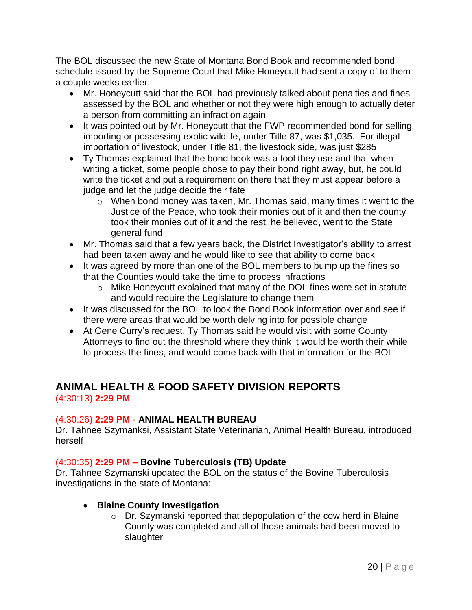The BOL discussed the new State of Montana Bond Book and recommended bond schedule issued by the Supreme Court that Mike Honeycutt had sent a copy of to them a couple weeks earlier:

- Mr. Honeycutt said that the BOL had previously talked about penalties and fines assessed by the BOL and whether or not they were high enough to actually deter a person from committing an infraction again
- It was pointed out by Mr. Honeycutt that the FWP recommended bond for selling, importing or possessing exotic wildlife, under Title 87, was \$1,035. For illegal importation of livestock, under Title 81, the livestock side, was just \$285
- Ty Thomas explained that the bond book was a tool they use and that when writing a ticket, some people chose to pay their bond right away, but, he could write the ticket and put a requirement on there that they must appear before a judge and let the judge decide their fate
	- o When bond money was taken, Mr. Thomas said, many times it went to the Justice of the Peace, who took their monies out of it and then the county took their monies out of it and the rest, he believed, went to the State general fund
- Mr. Thomas said that a few years back, the District Investigator's ability to arrest had been taken away and he would like to see that ability to come back
- It was agreed by more than one of the BOL members to bump up the fines so that the Counties would take the time to process infractions
	- o Mike Honeycutt explained that many of the DOL fines were set in statute and would require the Legislature to change them
- It was discussed for the BOL to look the Bond Book information over and see if there were areas that would be worth delving into for possible change
- At Gene Curry's request, Ty Thomas said he would visit with some County Attorneys to find out the threshold where they think it would be worth their while to process the fines, and would come back with that information for the BOL

# **ANIMAL HEALTH & FOOD SAFETY DIVISION REPORTS**

(4:30:13) **2:29 PM**

## (4:30:26) **2:29 PM - ANIMAL HEALTH BUREAU**

Dr. Tahnee Szymanksi, Assistant State Veterinarian, Animal Health Bureau, introduced herself

## (4:30:35) **2:29 PM – Bovine Tuberculosis (TB) Update**

Dr. Tahnee Szymanski updated the BOL on the status of the Bovine Tuberculosis investigations in the state of Montana:

## • **Blaine County Investigation**

o Dr. Szymanski reported that depopulation of the cow herd in Blaine County was completed and all of those animals had been moved to slaughter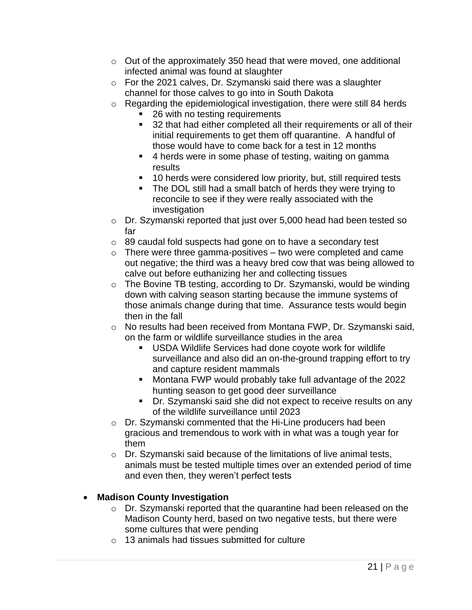- o Out of the approximately 350 head that were moved, one additional infected animal was found at slaughter
- o For the 2021 calves, Dr. Szymanski said there was a slaughter channel for those calves to go into in South Dakota
- o Regarding the epidemiological investigation, there were still 84 herds
	- 26 with no testing requirements
	- 32 that had either completed all their requirements or all of their initial requirements to get them off quarantine. A handful of those would have to come back for a test in 12 months
	- 4 herds were in some phase of testing, waiting on gamma results
	- 10 herds were considered low priority, but, still required tests
	- The DOL still had a small batch of herds they were trying to reconcile to see if they were really associated with the investigation
- o Dr. Szymanski reported that just over 5,000 head had been tested so far
- o 89 caudal fold suspects had gone on to have a secondary test
- $\circ$  There were three gamma-positives two were completed and came out negative; the third was a heavy bred cow that was being allowed to calve out before euthanizing her and collecting tissues
- o The Bovine TB testing, according to Dr. Szymanski, would be winding down with calving season starting because the immune systems of those animals change during that time. Assurance tests would begin then in the fall
- o No results had been received from Montana FWP, Dr. Szymanski said, on the farm or wildlife surveillance studies in the area
	- USDA Wildlife Services had done covote work for wildlife surveillance and also did an on-the-ground trapping effort to try and capture resident mammals
	- Montana FWP would probably take full advantage of the 2022 hunting season to get good deer surveillance
	- Dr. Szymanski said she did not expect to receive results on any of the wildlife surveillance until 2023
- o Dr. Szymanski commented that the Hi-Line producers had been gracious and tremendous to work with in what was a tough year for them
- o Dr. Szymanski said because of the limitations of live animal tests, animals must be tested multiple times over an extended period of time and even then, they weren't perfect tests

## • **Madison County Investigation**

- o Dr. Szymanski reported that the quarantine had been released on the Madison County herd, based on two negative tests, but there were some cultures that were pending
- o 13 animals had tissues submitted for culture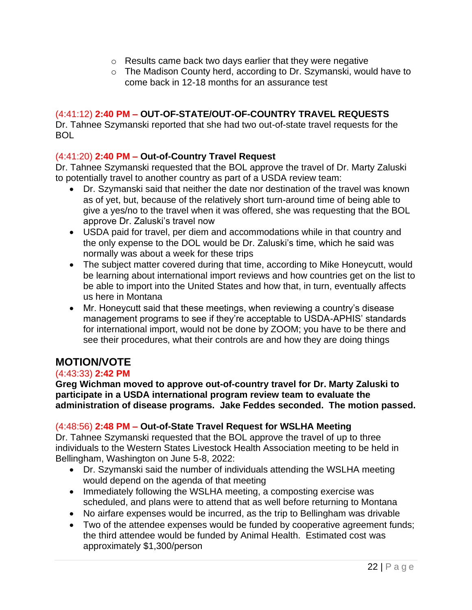- o Results came back two days earlier that they were negative
- o The Madison County herd, according to Dr. Szymanski, would have to come back in 12-18 months for an assurance test

## (4:41:12) **2:40 PM – OUT-OF-STATE/OUT-OF-COUNTRY TRAVEL REQUESTS**

Dr. Tahnee Szymanski reported that she had two out-of-state travel requests for the BOL

## (4:41:20) **2:40 PM – Out-of-Country Travel Request**

Dr. Tahnee Szymanski requested that the BOL approve the travel of Dr. Marty Zaluski to potentially travel to another country as part of a USDA review team:

- Dr. Szymanski said that neither the date nor destination of the travel was known as of yet, but, because of the relatively short turn-around time of being able to give a yes/no to the travel when it was offered, she was requesting that the BOL approve Dr. Zaluski's travel now
- USDA paid for travel, per diem and accommodations while in that country and the only expense to the DOL would be Dr. Zaluski's time, which he said was normally was about a week for these trips
- The subject matter covered during that time, according to Mike Honeycutt, would be learning about international import reviews and how countries get on the list to be able to import into the United States and how that, in turn, eventually affects us here in Montana
- Mr. Honeycutt said that these meetings, when reviewing a country's disease management programs to see if they're acceptable to USDA-APHIS' standards for international import, would not be done by ZOOM; you have to be there and see their procedures, what their controls are and how they are doing things

## **MOTION/VOTE**

#### (4:43:33) **2:42 PM**

**Greg Wichman moved to approve out-of-country travel for Dr. Marty Zaluski to participate in a USDA international program review team to evaluate the administration of disease programs. Jake Feddes seconded. The motion passed.**

## (4:48:56) **2:48 PM – Out-of-State Travel Request for WSLHA Meeting**

Dr. Tahnee Szymanski requested that the BOL approve the travel of up to three individuals to the Western States Livestock Health Association meeting to be held in Bellingham, Washington on June 5-8, 2022:

- Dr. Szymanski said the number of individuals attending the WSLHA meeting would depend on the agenda of that meeting
- Immediately following the WSLHA meeting, a composting exercise was scheduled, and plans were to attend that as well before returning to Montana
- No airfare expenses would be incurred, as the trip to Bellingham was drivable
- Two of the attendee expenses would be funded by cooperative agreement funds; the third attendee would be funded by Animal Health. Estimated cost was approximately \$1,300/person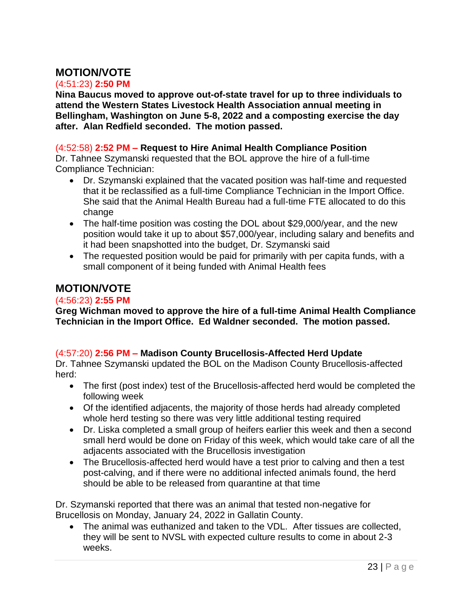## **MOTION/VOTE**

## (4:51:23) **2:50 PM**

**Nina Baucus moved to approve out-of-state travel for up to three individuals to attend the Western States Livestock Health Association annual meeting in Bellingham, Washington on June 5-8, 2022 and a composting exercise the day after. Alan Redfield seconded. The motion passed.**

## (4:52:58) **2:52 PM – Request to Hire Animal Health Compliance Position**

Dr. Tahnee Szymanski requested that the BOL approve the hire of a full-time Compliance Technician:

- Dr. Szymanski explained that the vacated position was half-time and requested that it be reclassified as a full-time Compliance Technician in the Import Office. She said that the Animal Health Bureau had a full-time FTE allocated to do this change
- The half-time position was costing the DOL about \$29,000/year, and the new position would take it up to about \$57,000/year, including salary and benefits and it had been snapshotted into the budget, Dr. Szymanski said
- The requested position would be paid for primarily with per capita funds, with a small component of it being funded with Animal Health fees

## **MOTION/VOTE**

## (4:56:23) **2:55 PM**

**Greg Wichman moved to approve the hire of a full-time Animal Health Compliance Technician in the Import Office. Ed Waldner seconded. The motion passed.** 

## (4:57:20) **2:56 PM – Madison County Brucellosis-Affected Herd Update**

Dr. Tahnee Szymanski updated the BOL on the Madison County Brucellosis-affected herd:

- The first (post index) test of the Brucellosis-affected herd would be completed the following week
- Of the identified adjacents, the majority of those herds had already completed whole herd testing so there was very little additional testing required
- Dr. Liska completed a small group of heifers earlier this week and then a second small herd would be done on Friday of this week, which would take care of all the adjacents associated with the Brucellosis investigation
- The Brucellosis-affected herd would have a test prior to calving and then a test post-calving, and if there were no additional infected animals found, the herd should be able to be released from quarantine at that time

Dr. Szymanski reported that there was an animal that tested non-negative for Brucellosis on Monday, January 24, 2022 in Gallatin County.

• The animal was euthanized and taken to the VDL. After tissues are collected, they will be sent to NVSL with expected culture results to come in about 2-3 weeks.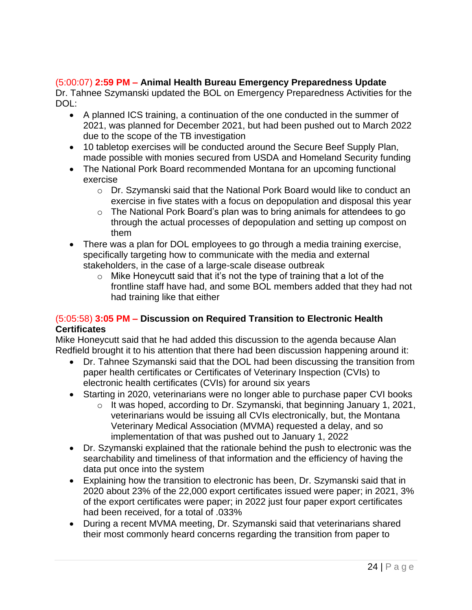## (5:00:07) **2:59 PM – Animal Health Bureau Emergency Preparedness Update**

Dr. Tahnee Szymanski updated the BOL on Emergency Preparedness Activities for the DOL:

- A planned ICS training, a continuation of the one conducted in the summer of 2021, was planned for December 2021, but had been pushed out to March 2022 due to the scope of the TB investigation
- 10 tabletop exercises will be conducted around the Secure Beef Supply Plan, made possible with monies secured from USDA and Homeland Security funding
- The National Pork Board recommended Montana for an upcoming functional exercise
	- o Dr. Szymanski said that the National Pork Board would like to conduct an exercise in five states with a focus on depopulation and disposal this year
	- o The National Pork Board's plan was to bring animals for attendees to go through the actual processes of depopulation and setting up compost on them
- There was a plan for DOL employees to go through a media training exercise, specifically targeting how to communicate with the media and external stakeholders, in the case of a large-scale disease outbreak
	- $\circ$  Mike Honeycutt said that it's not the type of training that a lot of the frontline staff have had, and some BOL members added that they had not had training like that either

## (5:05:58) **3:05 PM – Discussion on Required Transition to Electronic Health Certificates**

Mike Honeycutt said that he had added this discussion to the agenda because Alan Redfield brought it to his attention that there had been discussion happening around it:

- Dr. Tahnee Szymanski said that the DOL had been discussing the transition from paper health certificates or Certificates of Veterinary Inspection (CVIs) to electronic health certificates (CVIs) for around six years
- Starting in 2020, veterinarians were no longer able to purchase paper CVI books
	- o It was hoped, according to Dr. Szymanski, that beginning January 1, 2021, veterinarians would be issuing all CVIs electronically, but, the Montana Veterinary Medical Association (MVMA) requested a delay, and so implementation of that was pushed out to January 1, 2022
- Dr. Szymanski explained that the rationale behind the push to electronic was the searchability and timeliness of that information and the efficiency of having the data put once into the system
- Explaining how the transition to electronic has been, Dr. Szymanski said that in 2020 about 23% of the 22,000 export certificates issued were paper; in 2021, 3% of the export certificates were paper; in 2022 just four paper export certificates had been received, for a total of .033%
- During a recent MVMA meeting, Dr. Szymanski said that veterinarians shared their most commonly heard concerns regarding the transition from paper to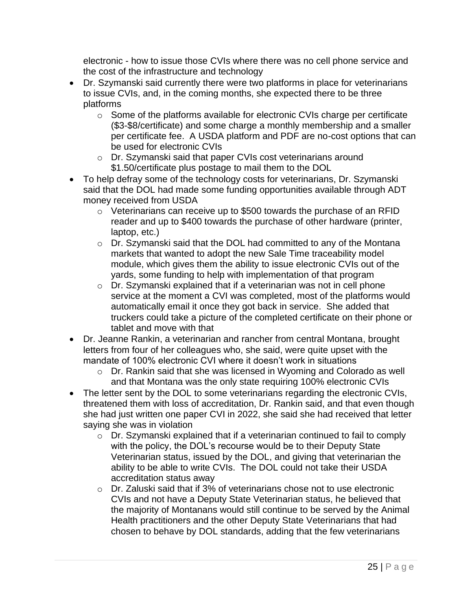electronic - how to issue those CVIs where there was no cell phone service and the cost of the infrastructure and technology

- Dr. Szymanski said currently there were two platforms in place for veterinarians to issue CVIs, and, in the coming months, she expected there to be three platforms
	- o Some of the platforms available for electronic CVIs charge per certificate (\$3-\$8/certificate) and some charge a monthly membership and a smaller per certificate fee. A USDA platform and PDF are no-cost options that can be used for electronic CVIs
	- o Dr. Szymanski said that paper CVIs cost veterinarians around \$1.50/certificate plus postage to mail them to the DOL
- To help defray some of the technology costs for veterinarians, Dr. Szymanski said that the DOL had made some funding opportunities available through ADT money received from USDA
	- o Veterinarians can receive up to \$500 towards the purchase of an RFID reader and up to \$400 towards the purchase of other hardware (printer, laptop, etc.)
	- o Dr. Szymanski said that the DOL had committed to any of the Montana markets that wanted to adopt the new Sale Time traceability model module, which gives them the ability to issue electronic CVIs out of the yards, some funding to help with implementation of that program
	- o Dr. Szymanski explained that if a veterinarian was not in cell phone service at the moment a CVI was completed, most of the platforms would automatically email it once they got back in service. She added that truckers could take a picture of the completed certificate on their phone or tablet and move with that
- Dr. Jeanne Rankin, a veterinarian and rancher from central Montana, brought letters from four of her colleagues who, she said, were quite upset with the mandate of 100% electronic CVI where it doesn't work in situations
	- o Dr. Rankin said that she was licensed in Wyoming and Colorado as well and that Montana was the only state requiring 100% electronic CVIs
- The letter sent by the DOL to some veterinarians regarding the electronic CVIs, threatened them with loss of accreditation, Dr. Rankin said, and that even though she had just written one paper CVI in 2022, she said she had received that letter saying she was in violation
	- o Dr. Szymanski explained that if a veterinarian continued to fail to comply with the policy, the DOL's recourse would be to their Deputy State Veterinarian status, issued by the DOL, and giving that veterinarian the ability to be able to write CVIs. The DOL could not take their USDA accreditation status away
	- o Dr. Zaluski said that if 3% of veterinarians chose not to use electronic CVIs and not have a Deputy State Veterinarian status, he believed that the majority of Montanans would still continue to be served by the Animal Health practitioners and the other Deputy State Veterinarians that had chosen to behave by DOL standards, adding that the few veterinarians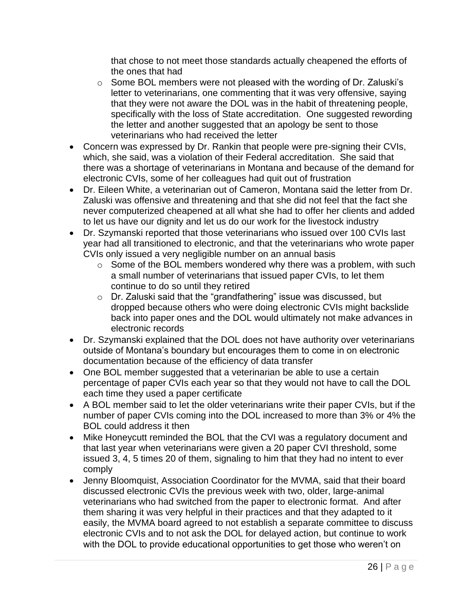that chose to not meet those standards actually cheapened the efforts of the ones that had

- o Some BOL members were not pleased with the wording of Dr. Zaluski's letter to veterinarians, one commenting that it was very offensive, saying that they were not aware the DOL was in the habit of threatening people, specifically with the loss of State accreditation. One suggested rewording the letter and another suggested that an apology be sent to those veterinarians who had received the letter
- Concern was expressed by Dr. Rankin that people were pre-signing their CVIs, which, she said, was a violation of their Federal accreditation. She said that there was a shortage of veterinarians in Montana and because of the demand for electronic CVIs, some of her colleagues had quit out of frustration
- Dr. Eileen White, a veterinarian out of Cameron, Montana said the letter from Dr. Zaluski was offensive and threatening and that she did not feel that the fact she never computerized cheapened at all what she had to offer her clients and added to let us have our dignity and let us do our work for the livestock industry
- Dr. Szymanski reported that those veterinarians who issued over 100 CVIs last year had all transitioned to electronic, and that the veterinarians who wrote paper CVIs only issued a very negligible number on an annual basis
	- $\circ$  Some of the BOL members wondered why there was a problem, with such a small number of veterinarians that issued paper CVIs, to let them continue to do so until they retired
	- o Dr. Zaluski said that the "grandfathering" issue was discussed, but dropped because others who were doing electronic CVIs might backslide back into paper ones and the DOL would ultimately not make advances in electronic records
- Dr. Szymanski explained that the DOL does not have authority over veterinarians outside of Montana's boundary but encourages them to come in on electronic documentation because of the efficiency of data transfer
- One BOL member suggested that a veterinarian be able to use a certain percentage of paper CVIs each year so that they would not have to call the DOL each time they used a paper certificate
- A BOL member said to let the older veterinarians write their paper CVIs, but if the number of paper CVIs coming into the DOL increased to more than 3% or 4% the BOL could address it then
- Mike Honeycutt reminded the BOL that the CVI was a regulatory document and that last year when veterinarians were given a 20 paper CVI threshold, some issued 3, 4, 5 times 20 of them, signaling to him that they had no intent to ever comply
- Jenny Bloomquist, Association Coordinator for the MVMA, said that their board discussed electronic CVIs the previous week with two, older, large-animal veterinarians who had switched from the paper to electronic format. And after them sharing it was very helpful in their practices and that they adapted to it easily, the MVMA board agreed to not establish a separate committee to discuss electronic CVIs and to not ask the DOL for delayed action, but continue to work with the DOL to provide educational opportunities to get those who weren't on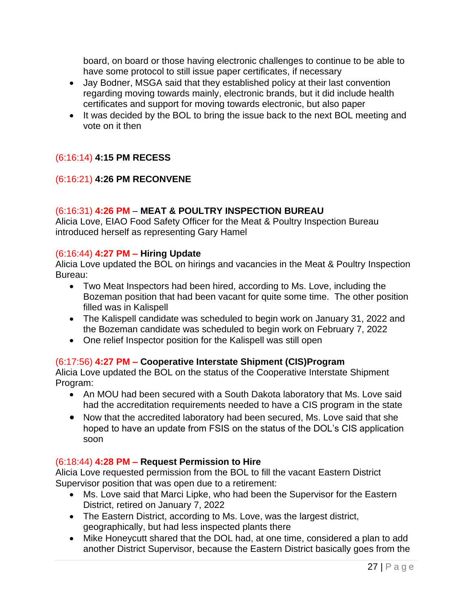board, on board or those having electronic challenges to continue to be able to have some protocol to still issue paper certificates, if necessary

- Jay Bodner, MSGA said that they established policy at their last convention regarding moving towards mainly, electronic brands, but it did include health certificates and support for moving towards electronic, but also paper
- It was decided by the BOL to bring the issue back to the next BOL meeting and vote on it then

## (6:16:14) **4:15 PM RECESS**

## (6:16:21) **4:26 PM RECONVENE**

## (6:16:31) **4:26 PM** – **MEAT & POULTRY INSPECTION BUREAU**

Alicia Love, EIAO Food Safety Officer for the Meat & Poultry Inspection Bureau introduced herself as representing Gary Hamel

#### (6:16:44) **4:27 PM – Hiring Update**

Alicia Love updated the BOL on hirings and vacancies in the Meat & Poultry Inspection Bureau:

- Two Meat Inspectors had been hired, according to Ms. Love, including the Bozeman position that had been vacant for quite some time. The other position filled was in Kalispell
- The Kalispell candidate was scheduled to begin work on January 31, 2022 and the Bozeman candidate was scheduled to begin work on February 7, 2022
- One relief Inspector position for the Kalispell was still open

#### (6:17:56) **4:27 PM – Cooperative Interstate Shipment (CIS)Program**

Alicia Love updated the BOL on the status of the Cooperative Interstate Shipment Program:

- An MOU had been secured with a South Dakota laboratory that Ms. Love said had the accreditation requirements needed to have a CIS program in the state
- Now that the accredited laboratory had been secured, Ms. Love said that she hoped to have an update from FSIS on the status of the DOL's CIS application soon

## (6:18:44) **4:28 PM – Request Permission to Hire**

Alicia Love requested permission from the BOL to fill the vacant Eastern District Supervisor position that was open due to a retirement:

- Ms. Love said that Marci Lipke, who had been the Supervisor for the Eastern District, retired on January 7, 2022
- The Eastern District, according to Ms. Love, was the largest district, geographically, but had less inspected plants there
- Mike Honeycutt shared that the DOL had, at one time, considered a plan to add another District Supervisor, because the Eastern District basically goes from the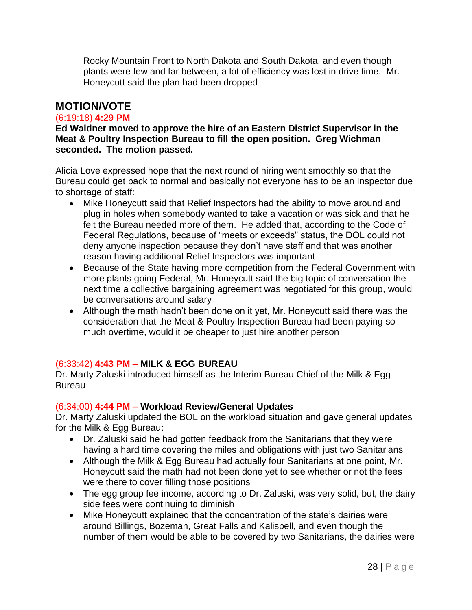Rocky Mountain Front to North Dakota and South Dakota, and even though plants were few and far between, a lot of efficiency was lost in drive time. Mr. Honeycutt said the plan had been dropped

## **MOTION/VOTE**

## (6:19:18) **4:29 PM**

**Ed Waldner moved to approve the hire of an Eastern District Supervisor in the Meat & Poultry Inspection Bureau to fill the open position. Greg Wichman seconded. The motion passed.**

Alicia Love expressed hope that the next round of hiring went smoothly so that the Bureau could get back to normal and basically not everyone has to be an Inspector due to shortage of staff:

- Mike Honeycutt said that Relief Inspectors had the ability to move around and plug in holes when somebody wanted to take a vacation or was sick and that he felt the Bureau needed more of them. He added that, according to the Code of Federal Regulations, because of "meets or exceeds" status, the DOL could not deny anyone inspection because they don't have staff and that was another reason having additional Relief Inspectors was important
- Because of the State having more competition from the Federal Government with more plants going Federal, Mr. Honeycutt said the big topic of conversation the next time a collective bargaining agreement was negotiated for this group, would be conversations around salary
- Although the math hadn't been done on it yet, Mr. Honeycutt said there was the consideration that the Meat & Poultry Inspection Bureau had been paying so much overtime, would it be cheaper to just hire another person

## (6:33:42) **4:43 PM – MILK & EGG BUREAU**

Dr. Marty Zaluski introduced himself as the Interim Bureau Chief of the Milk & Egg **Bureau** 

#### (6:34:00) **4:44 PM – Workload Review/General Updates**

Dr. Marty Zaluski updated the BOL on the workload situation and gave general updates for the Milk & Egg Bureau:

- Dr. Zaluski said he had gotten feedback from the Sanitarians that they were having a hard time covering the miles and obligations with just two Sanitarians
- Although the Milk & Egg Bureau had actually four Sanitarians at one point, Mr. Honeycutt said the math had not been done yet to see whether or not the fees were there to cover filling those positions
- The egg group fee income, according to Dr. Zaluski, was very solid, but, the dairy side fees were continuing to diminish
- Mike Honeycutt explained that the concentration of the state's dairies were around Billings, Bozeman, Great Falls and Kalispell, and even though the number of them would be able to be covered by two Sanitarians, the dairies were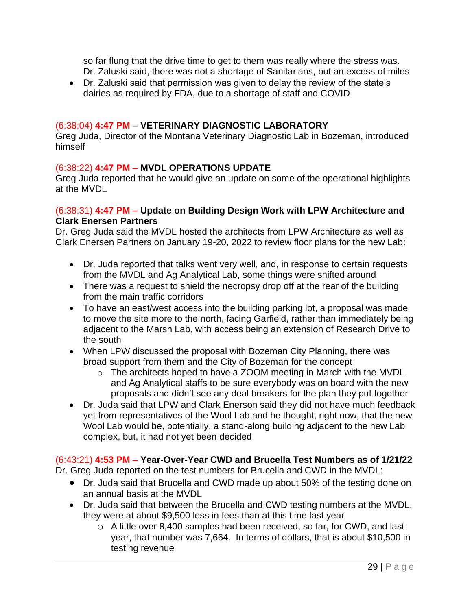so far flung that the drive time to get to them was really where the stress was. Dr. Zaluski said, there was not a shortage of Sanitarians, but an excess of miles

• Dr. Zaluski said that permission was given to delay the review of the state's dairies as required by FDA, due to a shortage of staff and COVID

#### (6:38:04) **4:47 PM – VETERINARY DIAGNOSTIC LABORATORY**

Greg Juda, Director of the Montana Veterinary Diagnostic Lab in Bozeman, introduced himself

#### (6:38:22) **4:47 PM – MVDL OPERATIONS UPDATE**

Greg Juda reported that he would give an update on some of the operational highlights at the MVDL

#### (6:38:31) **4:47 PM – Update on Building Design Work with LPW Architecture and Clark Enersen Partners**

Dr. Greg Juda said the MVDL hosted the architects from LPW Architecture as well as Clark Enersen Partners on January 19-20, 2022 to review floor plans for the new Lab:

- Dr. Juda reported that talks went very well, and, in response to certain requests from the MVDL and Ag Analytical Lab, some things were shifted around
- There was a request to shield the necropsy drop off at the rear of the building from the main traffic corridors
- To have an east/west access into the building parking lot, a proposal was made to move the site more to the north, facing Garfield, rather than immediately being adjacent to the Marsh Lab, with access being an extension of Research Drive to the south
- When LPW discussed the proposal with Bozeman City Planning, there was broad support from them and the City of Bozeman for the concept
	- o The architects hoped to have a ZOOM meeting in March with the MVDL and Ag Analytical staffs to be sure everybody was on board with the new proposals and didn't see any deal breakers for the plan they put together
- Dr. Juda said that LPW and Clark Enerson said they did not have much feedback yet from representatives of the Wool Lab and he thought, right now, that the new Wool Lab would be, potentially, a stand-along building adjacent to the new Lab complex, but, it had not yet been decided

#### (6:43:21) **4:53 PM – Year-Over-Year CWD and Brucella Test Numbers as of 1/21/22**

Dr. Greg Juda reported on the test numbers for Brucella and CWD in the MVDL:

- Dr. Juda said that Brucella and CWD made up about 50% of the testing done on an annual basis at the MVDL
- Dr. Juda said that between the Brucella and CWD testing numbers at the MVDL, they were at about \$9,500 less in fees than at this time last year
	- o A little over 8,400 samples had been received, so far, for CWD, and last year, that number was 7,664. In terms of dollars, that is about \$10,500 in testing revenue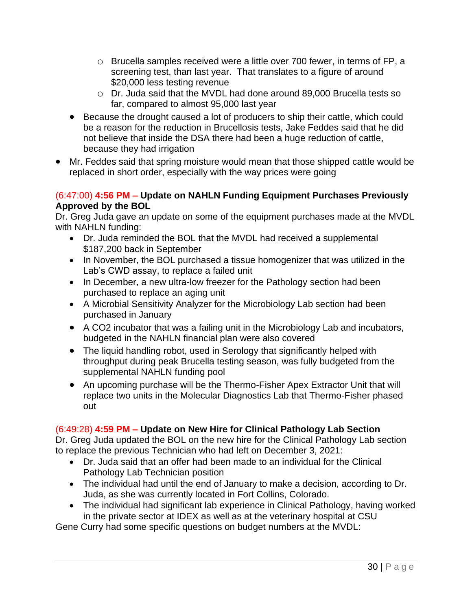- o Brucella samples received were a little over 700 fewer, in terms of FP, a screening test, than last year. That translates to a figure of around \$20,000 less testing revenue
- o Dr. Juda said that the MVDL had done around 89,000 Brucella tests so far, compared to almost 95,000 last year
- Because the drought caused a lot of producers to ship their cattle, which could be a reason for the reduction in Brucellosis tests, Jake Feddes said that he did not believe that inside the DSA there had been a huge reduction of cattle, because they had irrigation
- Mr. Feddes said that spring moisture would mean that those shipped cattle would be replaced in short order, especially with the way prices were going

## (6:47:00) **4:56 PM – Update on NAHLN Funding Equipment Purchases Previously Approved by the BOL**

Dr. Greg Juda gave an update on some of the equipment purchases made at the MVDL with NAHLN funding:

- Dr. Juda reminded the BOL that the MVDL had received a supplemental \$187,200 back in September
- In November, the BOL purchased a tissue homogenizer that was utilized in the Lab's CWD assay, to replace a failed unit
- In December, a new ultra-low freezer for the Pathology section had been purchased to replace an aging unit
- A Microbial Sensitivity Analyzer for the Microbiology Lab section had been purchased in January
- A CO2 incubator that was a failing unit in the Microbiology Lab and incubators, budgeted in the NAHLN financial plan were also covered
- The liquid handling robot, used in Serology that significantly helped with throughput during peak Brucella testing season, was fully budgeted from the supplemental NAHLN funding pool
- An upcoming purchase will be the Thermo-Fisher Apex Extractor Unit that will replace two units in the Molecular Diagnostics Lab that Thermo-Fisher phased out

## (6:49:28) **4:59 PM – Update on New Hire for Clinical Pathology Lab Section**

Dr. Greg Juda updated the BOL on the new hire for the Clinical Pathology Lab section to replace the previous Technician who had left on December 3, 2021:

- Dr. Juda said that an offer had been made to an individual for the Clinical Pathology Lab Technician position
- The individual had until the end of January to make a decision, according to Dr. Juda, as she was currently located in Fort Collins, Colorado.
- The individual had significant lab experience in Clinical Pathology, having worked in the private sector at IDEX as well as at the veterinary hospital at CSU

Gene Curry had some specific questions on budget numbers at the MVDL: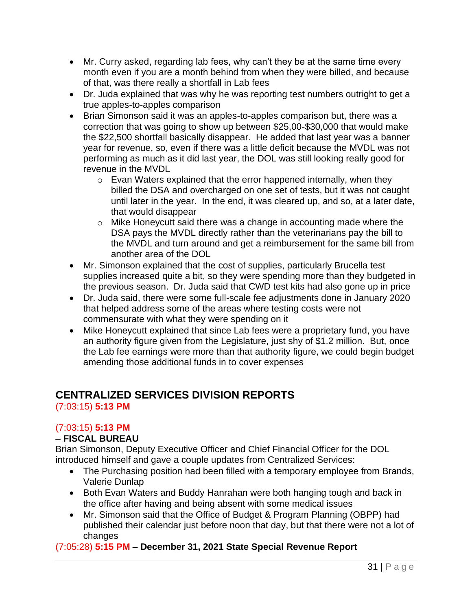- Mr. Curry asked, regarding lab fees, why can't they be at the same time every month even if you are a month behind from when they were billed, and because of that, was there really a shortfall in Lab fees
- Dr. Juda explained that was why he was reporting test numbers outright to get a true apples-to-apples comparison
- Brian Simonson said it was an apples-to-apples comparison but, there was a correction that was going to show up between \$25,00-\$30,000 that would make the \$22,500 shortfall basically disappear. He added that last year was a banner year for revenue, so, even if there was a little deficit because the MVDL was not performing as much as it did last year, the DOL was still looking really good for revenue in the MVDL
	- $\circ$  Evan Waters explained that the error happened internally, when they billed the DSA and overcharged on one set of tests, but it was not caught until later in the year. In the end, it was cleared up, and so, at a later date, that would disappear
	- o Mike Honeycutt said there was a change in accounting made where the DSA pays the MVDL directly rather than the veterinarians pay the bill to the MVDL and turn around and get a reimbursement for the same bill from another area of the DOL
- Mr. Simonson explained that the cost of supplies, particularly Brucella test supplies increased quite a bit, so they were spending more than they budgeted in the previous season. Dr. Juda said that CWD test kits had also gone up in price
- Dr. Juda said, there were some full-scale fee adjustments done in January 2020 that helped address some of the areas where testing costs were not commensurate with what they were spending on it
- Mike Honeycutt explained that since Lab fees were a proprietary fund, you have an authority figure given from the Legislature, just shy of \$1.2 million. But, once the Lab fee earnings were more than that authority figure, we could begin budget amending those additional funds in to cover expenses

# **CENTRALIZED SERVICES DIVISION REPORTS**

(7:03:15) **5:13 PM**

## (7:03:15) **5:13 PM**

## **– FISCAL BUREAU**

Brian Simonson, Deputy Executive Officer and Chief Financial Officer for the DOL introduced himself and gave a couple updates from Centralized Services:

- The Purchasing position had been filled with a temporary employee from Brands, Valerie Dunlap
- Both Evan Waters and Buddy Hanrahan were both hanging tough and back in the office after having and being absent with some medical issues
- Mr. Simonson said that the Office of Budget & Program Planning (OBPP) had published their calendar just before noon that day, but that there were not a lot of changes

## (7:05:28) **5:15 PM – December 31, 2021 State Special Revenue Report**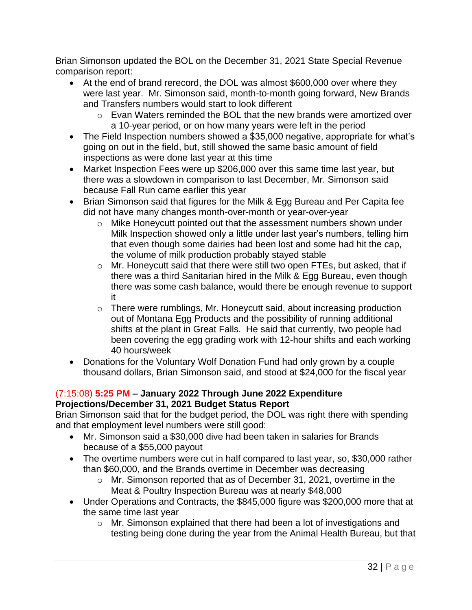Brian Simonson updated the BOL on the December 31, 2021 State Special Revenue comparison report:

- At the end of brand rerecord, the DOL was almost \$600,000 over where they were last year. Mr. Simonson said, month-to-month going forward, New Brands and Transfers numbers would start to look different
	- o Evan Waters reminded the BOL that the new brands were amortized over a 10-year period, or on how many years were left in the period
- The Field Inspection numbers showed a \$35,000 negative, appropriate for what's going on out in the field, but, still showed the same basic amount of field inspections as were done last year at this time
- Market Inspection Fees were up \$206,000 over this same time last year, but there was a slowdown in comparison to last December, Mr. Simonson said because Fall Run came earlier this year
- Brian Simonson said that figures for the Milk & Egg Bureau and Per Capita fee did not have many changes month-over-month or year-over-year
	- o Mike Honeycutt pointed out that the assessment numbers shown under Milk Inspection showed only a little under last year's numbers, telling him that even though some dairies had been lost and some had hit the cap, the volume of milk production probably stayed stable
	- o Mr. Honeycutt said that there were still two open FTEs, but asked, that if there was a third Sanitarian hired in the Milk & Egg Bureau, even though there was some cash balance, would there be enough revenue to support it
	- o There were rumblings, Mr. Honeycutt said, about increasing production out of Montana Egg Products and the possibility of running additional shifts at the plant in Great Falls. He said that currently, two people had been covering the egg grading work with 12-hour shifts and each working 40 hours/week
- Donations for the Voluntary Wolf Donation Fund had only grown by a couple thousand dollars, Brian Simonson said, and stood at \$24,000 for the fiscal year

#### (7:15:08) **5:25 PM – January 2022 Through June 2022 Expenditure Projections/December 31, 2021 Budget Status Report**

Brian Simonson said that for the budget period, the DOL was right there with spending and that employment level numbers were still good:

- Mr. Simonson said a \$30,000 dive had been taken in salaries for Brands because of a \$55,000 payout
- The overtime numbers were cut in half compared to last year, so, \$30,000 rather than \$60,000, and the Brands overtime in December was decreasing
	- o Mr. Simonson reported that as of December 31, 2021, overtime in the Meat & Poultry Inspection Bureau was at nearly \$48,000
- Under Operations and Contracts, the \$845,000 figure was \$200,000 more that at the same time last year
	- o Mr. Simonson explained that there had been a lot of investigations and testing being done during the year from the Animal Health Bureau, but that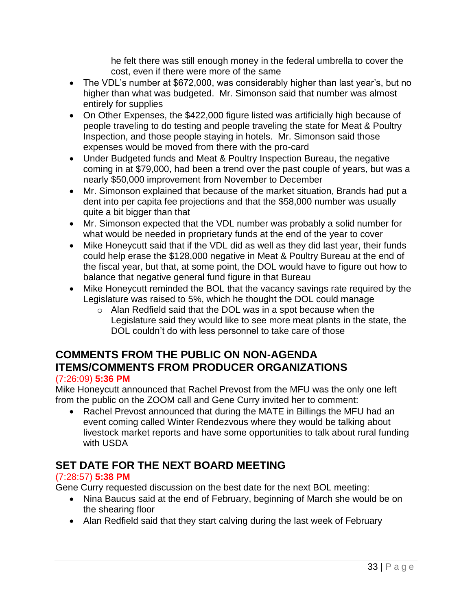he felt there was still enough money in the federal umbrella to cover the cost, even if there were more of the same

- The VDL's number at \$672,000, was considerably higher than last year's, but no higher than what was budgeted. Mr. Simonson said that number was almost entirely for supplies
- On Other Expenses, the \$422,000 figure listed was artificially high because of people traveling to do testing and people traveling the state for Meat & Poultry Inspection, and those people staying in hotels. Mr. Simonson said those expenses would be moved from there with the pro-card
- Under Budgeted funds and Meat & Poultry Inspection Bureau, the negative coming in at \$79,000, had been a trend over the past couple of years, but was a nearly \$50,000 improvement from November to December
- Mr. Simonson explained that because of the market situation, Brands had put a dent into per capita fee projections and that the \$58,000 number was usually quite a bit bigger than that
- Mr. Simonson expected that the VDL number was probably a solid number for what would be needed in proprietary funds at the end of the year to cover
- Mike Honeycutt said that if the VDL did as well as they did last year, their funds could help erase the \$128,000 negative in Meat & Poultry Bureau at the end of the fiscal year, but that, at some point, the DOL would have to figure out how to balance that negative general fund figure in that Bureau
- Mike Honeycutt reminded the BOL that the vacancy savings rate required by the Legislature was raised to 5%, which he thought the DOL could manage
	- $\circ$  Alan Redfield said that the DOL was in a spot because when the Legislature said they would like to see more meat plants in the state, the DOL couldn't do with less personnel to take care of those

## **COMMENTS FROM THE PUBLIC ON NON-AGENDA ITEMS/COMMENTS FROM PRODUCER ORGANIZATIONS** (7:26:09) **5:36 PM**

Mike Honeycutt announced that Rachel Prevost from the MFU was the only one left from the public on the ZOOM call and Gene Curry invited her to comment:

• Rachel Prevost announced that during the MATE in Billings the MFU had an event coming called Winter Rendezvous where they would be talking about livestock market reports and have some opportunities to talk about rural funding with USDA

# **SET DATE FOR THE NEXT BOARD MEETING**

## (7:28:57) **5:38 PM**

Gene Curry requested discussion on the best date for the next BOL meeting:

- Nina Baucus said at the end of February, beginning of March she would be on the shearing floor
- Alan Redfield said that they start calving during the last week of February